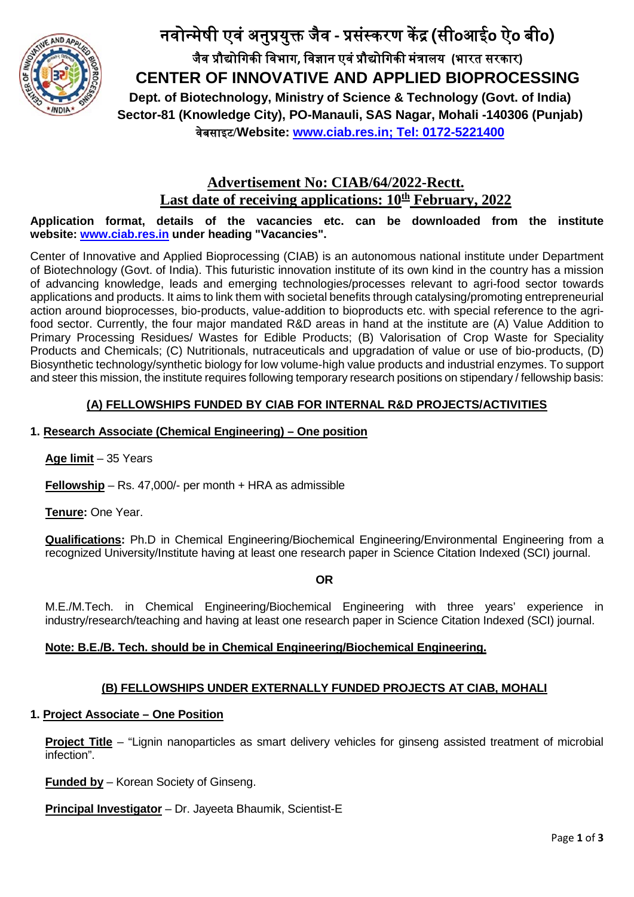

# नवोन्मेषी एवं अनु�यु� जैव **-** �संस्करण क� � **(**सी**o**आई**o** ऐ**o** बी**o)** जैव �ौ�ोिगक� िवभाग**,** िवज्ञान एवं�ौ�ोिगक� मं�ालय **(**भारत सरकार**) CENTER OF INNOVATIVE AND APPLIED BIOPROCESSING Dept. of Biotechnology, Ministry of Science & Technology (Govt. of India) Sector-81 (Knowledge City), PO-Manauli, SAS Nagar, Mohali -140306 (Punjab)** वेबसाइट**/Website: [www.ciab.res.in;](http://www.ciab.res.in/) Tel: 0172-5221400**

# **Advertisement No: CIAB/64/2022-Rectt.** Last date of receiving applications:  $10<sup>th</sup>$  **February, 2022**

#### **Application format, details of the vacancies etc. can be downloaded from the institute website: [www.ciab.res.in](http://www.ciab.res.in/) under heading "Vacancies".**

Center of Innovative and Applied Bioprocessing (CIAB) is an autonomous national institute under Department of Biotechnology (Govt. of India). This futuristic innovation institute of its own kind in the country has a mission of advancing knowledge, leads and emerging technologies/processes relevant to agri-food sector towards applications and products. It aims to link them with societal benefits through catalysing/promoting entrepreneurial action around bioprocesses, bio-products, value-addition to bioproducts etc. with special reference to the agrifood sector. Currently, the four major mandated R&D areas in hand at the institute are (A) Value Addition to Primary Processing Residues/ Wastes for Edible Products; (B) Valorisation of Crop Waste for Speciality Products and Chemicals; (C) Nutritionals, nutraceuticals and upgradation of value or use of bio-products, (D) Biosynthetic technology/synthetic biology for low volume-high value products and industrial enzymes. To support and steer this mission, the institute requires following temporary research positions on stipendary / fellowship basis:

# **(A) FELLOWSHIPS FUNDED BY CIAB FOR INTERNAL R&D PROJECTS/ACTIVITIES**

#### **1. Research Associate (Chemical Engineering) – One position**

#### **Age limit** – 35 Years

**Fellowship** – Rs. 47,000/- per month + HRA as admissible

**Tenure:** One Year.

**Qualifications:** Ph.D in Chemical Engineering/Biochemical Engineering/Environmental Engineering from a recognized University/Institute having at least one research paper in Science Citation Indexed (SCI) journal.

**OR**

M.E./M.Tech. in Chemical Engineering/Biochemical Engineering with three years' experience in industry/research/teaching and having at least one research paper in Science Citation Indexed (SCI) journal.

# **Note: B.E./B. Tech. should be in Chemical Engineering/Biochemical Engineering.**

# **(B) FELLOWSHIPS UNDER EXTERNALLY FUNDED PROJECTS AT CIAB, MOHALI**

#### **1. Project Associate – One Position**

**Project Title** – "Lignin nanoparticles as smart delivery vehicles for ginseng assisted treatment of microbial infection".

**Funded by** – Korean Society of Ginseng.

**Principal Investigator** – Dr. Jayeeta Bhaumik, Scientist-E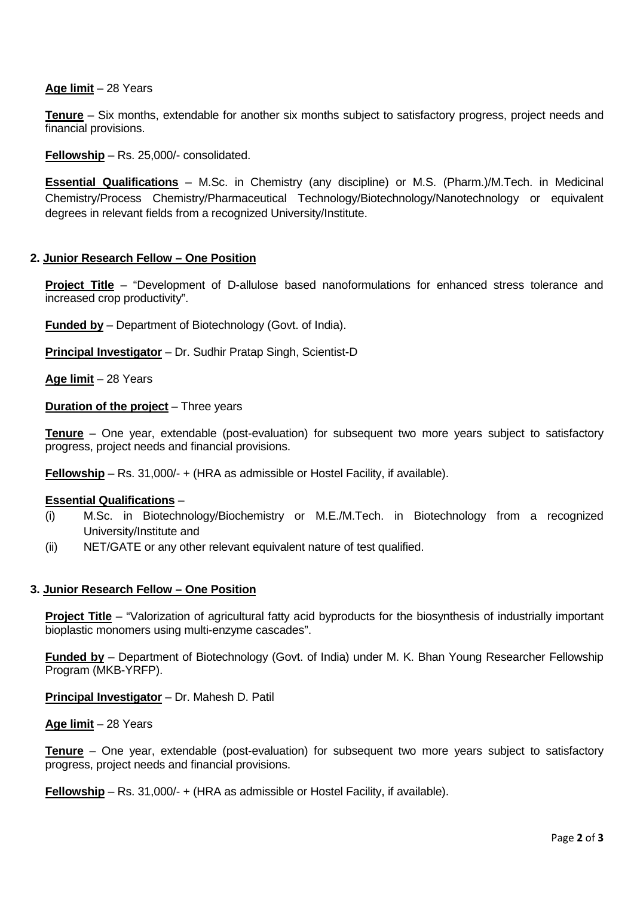#### **Age limit** – 28 Years

**Tenure** – Six months, extendable for another six months subject to satisfactory progress, project needs and financial provisions.

**Fellowship** – Rs. 25,000/- consolidated.

**Essential Qualifications** – M.Sc. in Chemistry (any discipline) or M.S. (Pharm.)/M.Tech. in Medicinal Chemistry/Process Chemistry/Pharmaceutical Technology/Biotechnology/Nanotechnology or equivalent degrees in relevant fields from a recognized University/Institute.

#### **2. Junior Research Fellow – One Position**

**Project Title** – "Development of D-allulose based nanoformulations for enhanced stress tolerance and increased crop productivity".

**Funded by** – Department of Biotechnology (Govt. of India).

**Principal Investigator** – Dr. Sudhir Pratap Singh, Scientist-D

**Age limit** – 28 Years

**Duration of the project** – Three years

**Tenure** – One year, extendable (post-evaluation) for subsequent two more years subject to satisfactory progress, project needs and financial provisions.

**Fellowship** – Rs. 31,000/- + (HRA as admissible or Hostel Facility, if available).

#### **Essential Qualifications** –

- (i) M.Sc. in Biotechnology/Biochemistry or M.E./M.Tech. in Biotechnology from a recognized University/Institute and
- (ii) NET/GATE or any other relevant equivalent nature of test qualified.

#### **3. Junior Research Fellow – One Position**

**Project Title** – "Valorization of agricultural fatty acid byproducts for the biosynthesis of industrially important bioplastic monomers using multi-enzyme cascades".

**Funded by** – Department of Biotechnology (Govt. of India) under M. K. Bhan Young Researcher Fellowship Program (MKB-YRFP).

**Principal Investigator** – Dr. Mahesh D. Patil

#### **Age limit** – 28 Years

**Tenure** – One year, extendable (post-evaluation) for subsequent two more years subject to satisfactory progress, project needs and financial provisions.

**Fellowship** – Rs. 31,000/- + (HRA as admissible or Hostel Facility, if available).